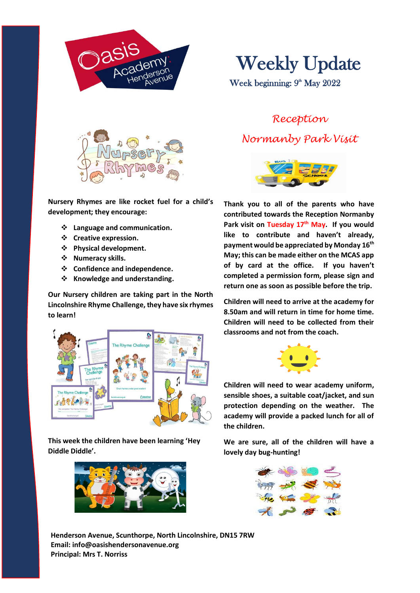

Weekly Update

Week beginning: 9<sup>th</sup> May 2022



**Nursery Rhymes are like rocket fuel for a child's development; they encourage:**

- ❖ **Language and communication.**
- ❖ **Creative expression.**
- ❖ **Physical development.**
- ❖ **Numeracy skills.**
- ❖ **Confidence and independence.**
- ❖ **Knowledge and understanding.**

**Our Nursery children are taking part in the North Lincolnshire Rhyme Challenge, they have six rhymes to learn!**



**This week the children have been learning 'Hey Diddle Diddle'.**



*Reception Normanby Park Visit*



**Thank you to all of the parents who have contributed towards the Reception Normanby Park visit on Tuesday 17th May. If you would like to contribute and haven't already, payment would be appreciated by Monday 16th May; this can be made either on the MCAS app of by card at the office. If you haven't completed a permission form, please sign and return one as soon as possible before the trip.**

**Children will need to arrive at the academy for 8.50am and will return in time for home time. Children will need to be collected from their classrooms and not from the coach.**



**Children will need to wear academy uniform, sensible shoes, a suitable coat/jacket, and sun protection depending on the weather. The academy will provide a packed lunch for all of the children.**

**We are sure, all of the children will have a lovely day bug-hunting!**



**Henderson Avenue, Scunthorpe, North Lincolnshire, DN15 7RW Email: info@oasishendersonavenue.org Principal: Mrs T. Norriss**